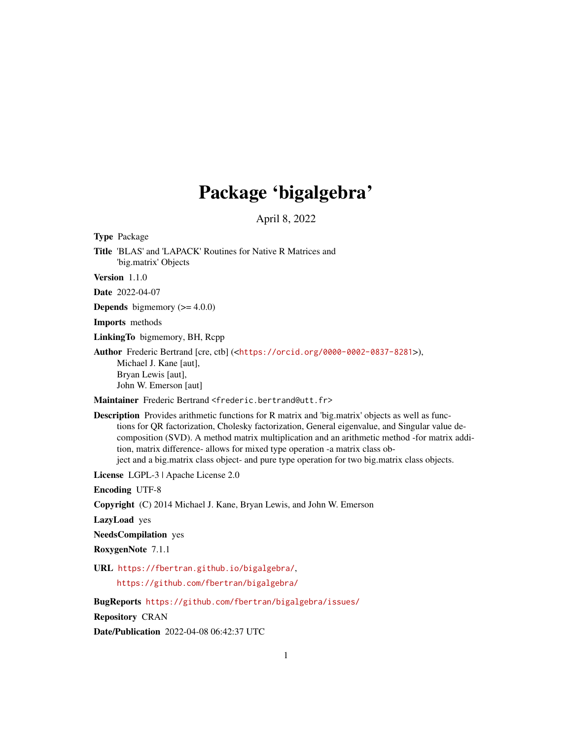# Package 'bigalgebra'

April 8, 2022

<span id="page-0-0"></span>Type Package Title 'BLAS' and 'LAPACK' Routines for Native R Matrices and 'big.matrix' Objects Version 1.1.0 Date 2022-04-07 **Depends** bigmemory  $(>= 4.0.0)$ 

Imports methods

LinkingTo bigmemory, BH, Rcpp

Author Frederic Bertrand [cre, ctb] (<<https://orcid.org/0000-0002-0837-8281>>), Michael J. Kane [aut], Bryan Lewis [aut], John W. Emerson [aut]

Maintainer Frederic Bertrand <frederic.bertrand@utt.fr>

Description Provides arithmetic functions for R matrix and 'big.matrix' objects as well as functions for QR factorization, Cholesky factorization, General eigenvalue, and Singular value decomposition (SVD). A method matrix multiplication and an arithmetic method -for matrix addition, matrix difference- allows for mixed type operation -a matrix class object and a big.matrix class object- and pure type operation for two big.matrix class objects.

License LGPL-3 | Apache License 2.0

Encoding UTF-8

Copyright (C) 2014 Michael J. Kane, Bryan Lewis, and John W. Emerson

LazyLoad yes

NeedsCompilation yes

RoxygenNote 7.1.1

URL <https://fbertran.github.io/bigalgebra/>,

<https://github.com/fbertran/bigalgebra/>

BugReports <https://github.com/fbertran/bigalgebra/issues/>

Repository CRAN

Date/Publication 2022-04-08 06:42:37 UTC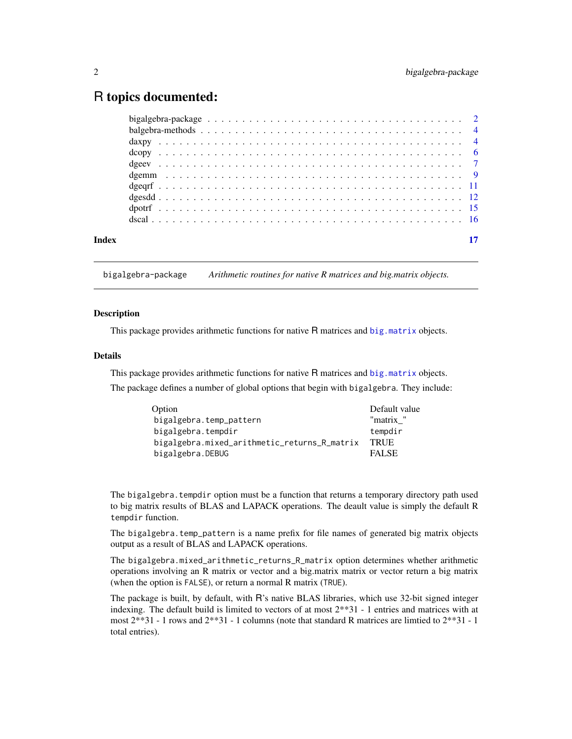# <span id="page-1-0"></span>R topics documented:

| Index |  |
|-------|--|

bigalgebra-package *Arithmetic routines for native R matrices and big.matrix objects.*

# **Description**

This package provides arithmetic functions for native R matrices and [big.matrix](#page-0-0) objects.

### Details

This package provides arithmetic functions for native R matrices and [big.matrix](#page-0-0) objects.

The package defines a number of global options that begin with bigalgebra. They include:

| Option                                       | Default value |
|----------------------------------------------|---------------|
| bigalgebra.temp_pattern                      | "matrix "     |
| bigalgebra.tempdir                           | tempdir       |
| bigalgebra.mixed_arithmetic_returns_R_matrix | <b>TRUE</b>   |
| bigalgebra.DEBUG                             | <b>FALSE</b>  |

The bigalgebra. tempdir option must be a function that returns a temporary directory path used to big matrix results of BLAS and LAPACK operations. The deault value is simply the default R tempdir function.

The bigalgebra.temp\_pattern is a name prefix for file names of generated big matrix objects output as a result of BLAS and LAPACK operations.

The bigalgebra.mixed\_arithmetic\_returns\_R\_matrix option determines whether arithmetic operations involving an R matrix or vector and a big.matrix matrix or vector return a big matrix (when the option is FALSE), or return a normal R matrix (TRUE).

The package is built, by default, with R's native BLAS libraries, which use 32-bit signed integer indexing. The default build is limited to vectors of at most 2\*\*31 - 1 entries and matrices with at most 2\*\*31 - 1 rows and 2\*\*31 - 1 columns (note that standard R matrices are limtied to 2\*\*31 - 1 total entries).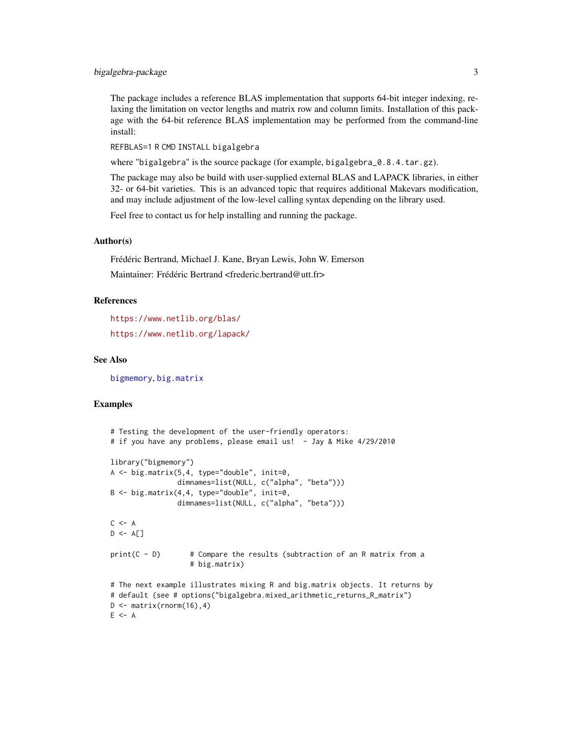# <span id="page-2-0"></span>bigalgebra-package 3

The package includes a reference BLAS implementation that supports 64-bit integer indexing, relaxing the limitation on vector lengths and matrix row and column limits. Installation of this package with the 64-bit reference BLAS implementation may be performed from the command-line install:

REFBLAS=1 R CMD INSTALL bigalgebra

where "bigalgebra" is the source package (for example, bigalgebra\_0.8.4.tar.gz).

The package may also be build with user-supplied external BLAS and LAPACK libraries, in either 32- or 64-bit varieties. This is an advanced topic that requires additional Makevars modification, and may include adjustment of the low-level calling syntax depending on the library used.

Feel free to contact us for help installing and running the package.

#### Author(s)

Frédéric Bertrand, Michael J. Kane, Bryan Lewis, John W. Emerson Maintainer: Frédéric Bertrand <frederic.bertrand@utt.fr>

#### References

<https://www.netlib.org/blas/> <https://www.netlib.org/lapack/>

# See Also

[bigmemory](#page-0-0), [big.matrix](#page-0-0)

```
# Testing the development of the user-friendly operators:
# if you have any problems, please email us! - Jay & Mike 4/29/2010
library("bigmemory")
A <- big.matrix(5,4, type="double", init=0,
                 dimnames=list(NULL, c("alpha", "beta")))
B \le -\bigl(\frac{b}{2}\bigr) big.matrix(4,4, type="double", init=0,
                dimnames=list(NULL, c("alpha", "beta")))
C <- A
D \leftarrow A[]print(C - D) # Compare the results (subtraction of an R matrix from a
                    # big.matrix)
# The next example illustrates mixing R and big.matrix objects. It returns by
# default (see # options("bigalgebra.mixed_arithmetic_returns_R_matrix")
D \leq - matrix(rnorm(16),4)
E < - A
```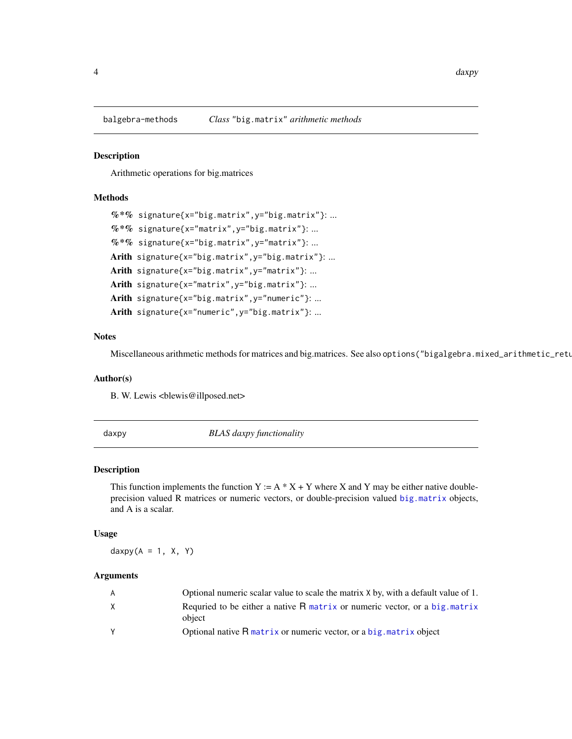<span id="page-3-0"></span>

#### Description

Arithmetic operations for big.matrices

# Methods

```
% *% signature{x="big.matrix", y="big.matrix"}: ...
\%*\% signature{x="matrix", y="big.matrix"}: ...
\%*\% signature{x="big.matrix", y="matrix"}: ...
Arith signature{x="big.matrix", y="big.matrix"}: ...
Arith signature{x="big.matrix", y="matrix"}: ...
Arith signature{x="matrix", y="big.matrix"}: ...
Arith signature{x="big.matrix", y="numeric"}: ...
Arith signature{x="numeric", y="big.matrix"}: ...
```
#### **Notes**

Miscellaneous arithmetic methods for matrices and big.matrices. See also options("bigalgebra.mixed\_arithmetic\_retu

#### Author(s)

B. W. Lewis <br/> <br/>blewis@illposed.net>

daxpy *BLAS daxpy functionality*

#### Description

This function implements the function Y :=  $A * X + Y$  where X and Y may be either native doubleprecision valued R matrices or numeric vectors, or double-precision valued [big.matrix](#page-0-0) objects, and A is a scalar.

#### Usage

 $daxyy(A = 1, X, Y)$ 

#### Arguments

| A        | Optional numeric scalar value to scale the matrix $X$ by, with a default value of 1.    |
|----------|-----------------------------------------------------------------------------------------|
| X        | Requried to be either a native $R$ matrix or numeric vector, or a big, matrix<br>object |
| <b>Y</b> | Optional native R matrix or numeric vector, or a big. matrix object                     |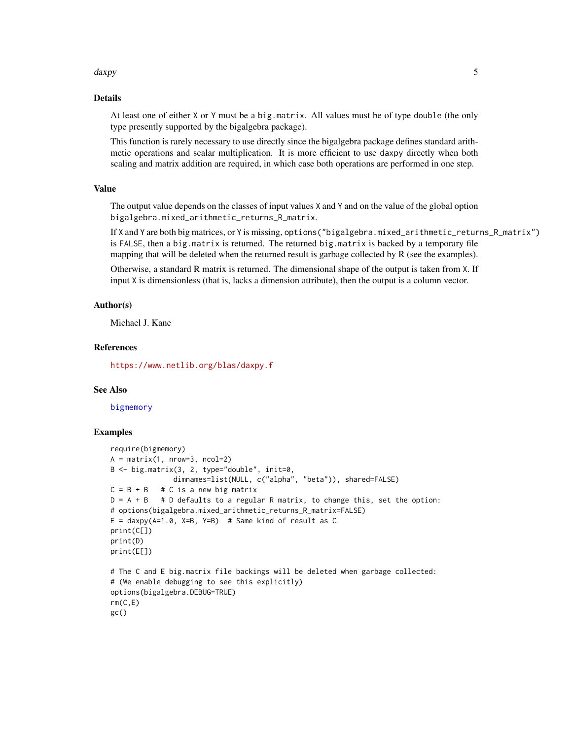#### <span id="page-4-0"></span>daxpy 5

# Details

At least one of either X or Y must be a big.matrix. All values must be of type double (the only type presently supported by the bigalgebra package).

This function is rarely necessary to use directly since the bigalgebra package defines standard arithmetic operations and scalar multiplication. It is more efficient to use daxpy directly when both scaling and matrix addition are required, in which case both operations are performed in one step.

# Value

The output value depends on the classes of input values X and Y and on the value of the global option bigalgebra.mixed\_arithmetic\_returns\_R\_matrix.

If X and Y are both big matrices, or Y is missing, options("bigalgebra.mixed\_arithmetic\_returns\_R\_matrix") is FALSE, then a big.matrix is returned. The returned big.matrix is backed by a temporary file mapping that will be deleted when the returned result is garbage collected by R (see the examples).

Otherwise, a standard R matrix is returned. The dimensional shape of the output is taken from X. If input X is dimensionless (that is, lacks a dimension attribute), then the output is a column vector.

# Author(s)

Michael J. Kane

#### References

<https://www.netlib.org/blas/daxpy.f>

# See Also

[bigmemory](#page-0-0)

```
require(bigmemory)
A = matrix(1, nrow=3, ncol=2)B <- big.matrix(3, 2, type="double", init=0,
               dimnames=list(NULL, c("alpha", "beta")), shared=FALSE)
C = B + B # C is a new big matrix
D = A + B # D defaults to a regular R matrix, to change this, set the option:
# options(bigalgebra.mixed_arithmetic_returns_R_matrix=FALSE)
E = \text{daxyy(A=1.0, X=B, Y=B)} # Same kind of result as C
print(C[])
print(D)
print(E[])
# The C and E big.matrix file backings will be deleted when garbage collected:
# (We enable debugging to see this explicitly)
options(bigalgebra.DEBUG=TRUE)
rm(C,E)gc()
```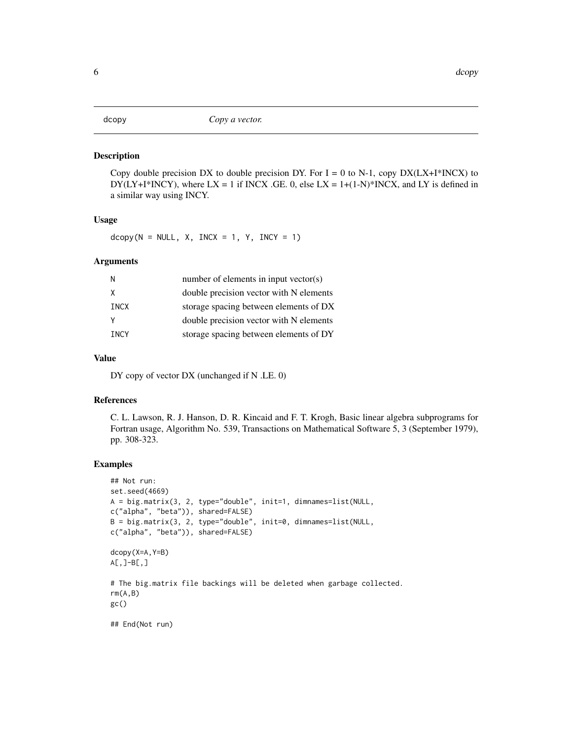#### <span id="page-5-0"></span>Description

Copy double precision DX to double precision DY. For  $I = 0$  to N-1, copy DX(LX+I\*INCX) to DY(LY+I\*INCY), where  $LX = 1$  if INCX .GE. 0, else  $LX = 1+(1-N)*INCX$ , and LY is defined in a similar way using INCY.

#### Usage

 $dcopy(N = NULL, X, INCX = 1, Y, INCY = 1)$ 

# Arguments

| N           | number of elements in input vector(s)   |
|-------------|-----------------------------------------|
| X           | double precision vector with N elements |
| INCX        | storage spacing between elements of DX  |
|             | double precision vector with N elements |
| <b>TNCY</b> | storage spacing between elements of DY  |
|             |                                         |

# Value

DY copy of vector DX (unchanged if N .LE. 0)

# References

C. L. Lawson, R. J. Hanson, D. R. Kincaid and F. T. Krogh, Basic linear algebra subprograms for Fortran usage, Algorithm No. 539, Transactions on Mathematical Software 5, 3 (September 1979), pp. 308-323.

```
## Not run:
set.seed(4669)
A = big.matrix(3, 2, type="double", init=1, dimnames=list(NULL,
c("alpha", "beta")), shared=FALSE)
B = big.matrix(3, 2, type="double", init=0, dimnames=list(NULL,
c("alpha", "beta")), shared=FALSE)
dcopy(X=A,Y=B)
A[\,,]-B[\,,]# The big.matrix file backings will be deleted when garbage collected.
rm(A,B)
gc()## End(Not run)
```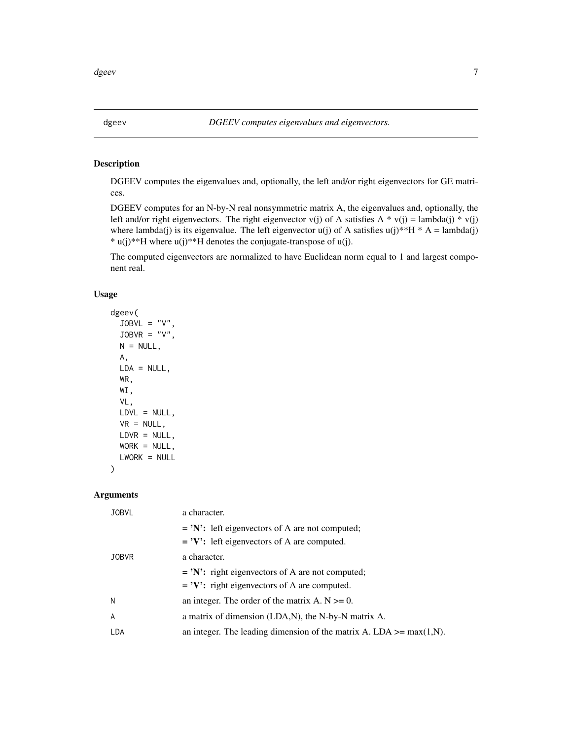<span id="page-6-0"></span>

# Description

DGEEV computes the eigenvalues and, optionally, the left and/or right eigenvectors for GE matrices.

DGEEV computes for an N-by-N real nonsymmetric matrix A, the eigenvalues and, optionally, the left and/or right eigenvectors. The right eigenvector v(j) of A satisfies A \* v(j) = lambda(j) \* v(j) where lambda(j) is its eigenvalue. The left eigenvector  $u(j)$  of A satisfies  $u(j)$ \*\*H \* A = lambda(j) \* u(j)\*\*H where u(j)\*\*H denotes the conjugate-transpose of u(j).

The computed eigenvectors are normalized to have Euclidean norm equal to 1 and largest component real.

# Usage

```
dgeev(
 JOBVL = "V",JOBVR = "V",N = NULL,A,
 LDA = NULL,WR,
 WI,
 VL,
 LDVL = NULL,VR = NULL,LDVR = NULL,WORK = NULL,LWORK = NULL
)
```
#### Arguments

| <b>JOBVL</b> | a character.                                                            |
|--------------|-------------------------------------------------------------------------|
|              | $=$ 'N': left eigenvectors of A are not computed;                       |
|              | $=$ 'V': left eigenvectors of A are computed.                           |
| <b>JOBVR</b> | a character.                                                            |
|              | $=$ 'N': right eigenvectors of A are not computed;                      |
|              | $=$ 'V': right eigenvectors of A are computed.                          |
| N            | an integer. The order of the matrix A. $N \ge 0$ .                      |
| A            | a matrix of dimension (LDA,N), the N-by-N matrix A.                     |
| LDA          | an integer. The leading dimension of the matrix A. LDA $\geq$ max(1,N). |
|              |                                                                         |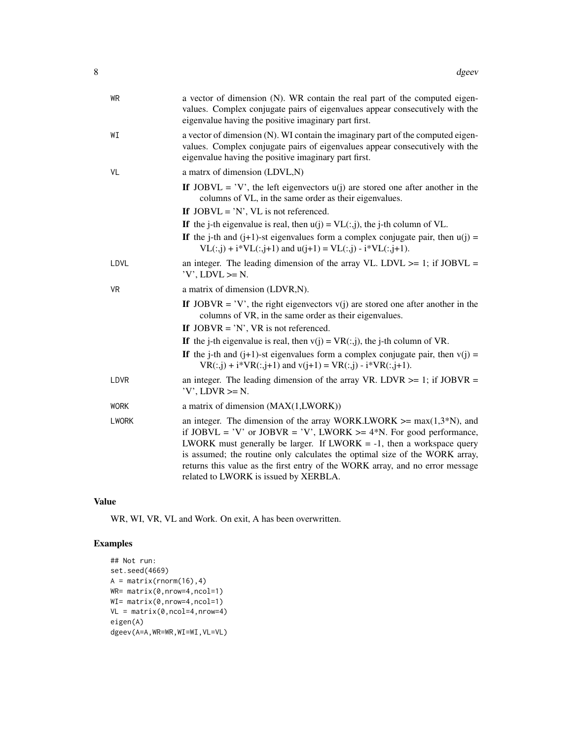| WR           | a vector of dimension (N). WR contain the real part of the computed eigen-<br>values. Complex conjugate pairs of eigenvalues appear consecutively with the<br>eigenvalue having the positive imaginary part first.                                                                                                                                                                                                                         |
|--------------|--------------------------------------------------------------------------------------------------------------------------------------------------------------------------------------------------------------------------------------------------------------------------------------------------------------------------------------------------------------------------------------------------------------------------------------------|
| WI           | a vector of dimension (N). WI contain the imaginary part of the computed eigen-<br>values. Complex conjugate pairs of eigenvalues appear consecutively with the<br>eigenvalue having the positive imaginary part first.                                                                                                                                                                                                                    |
| VL           | a matrx of dimension (LDVL,N)                                                                                                                                                                                                                                                                                                                                                                                                              |
|              | If JOBVL = 'V', the left eigenvectors $u(i)$ are stored one after another in the<br>columns of VL, in the same order as their eigenvalues.                                                                                                                                                                                                                                                                                                 |
|              | If $JOBVL = 'N'$ , VL is not referenced.                                                                                                                                                                                                                                                                                                                                                                                                   |
|              | If the j-th eigenvalue is real, then $u(j) = VL(:,j)$ , the j-th column of VL.                                                                                                                                                                                                                                                                                                                                                             |
|              | If the j-th and (j+1)-st eigenvalues form a complex conjugate pair, then $u(j)$ =<br>$VL(:,j) + i*VL(:,j+1)$ and $u(j+1) = VL(:,j) - i*VL(:,j+1)$ .                                                                                                                                                                                                                                                                                        |
| LDVL         | an integer. The leading dimension of the array VL. LDVL $>= 1$ ; if JOBVL =<br>$'V'$ , LDVL $>=$ N.                                                                                                                                                                                                                                                                                                                                        |
| <b>VR</b>    | a matrix of dimension (LDVR,N).                                                                                                                                                                                                                                                                                                                                                                                                            |
|              | If JOBVR = 'V', the right eigenvectors $v(j)$ are stored one after another in the<br>columns of VR, in the same order as their eigenvalues.                                                                                                                                                                                                                                                                                                |
|              | If $JOBVR = 'N'$ , VR is not referenced.                                                                                                                                                                                                                                                                                                                                                                                                   |
|              | If the j-th eigenvalue is real, then $v(j) = VR(:,j)$ , the j-th column of VR.                                                                                                                                                                                                                                                                                                                                                             |
|              | If the j-th and $(j+1)$ -st eigenvalues form a complex conjugate pair, then $v(j)$ =<br>$VR(:,j) + i*VR(:,j+1)$ and $v(j+1) = VR(:,j) - i*VR(:,j+1)$ .                                                                                                                                                                                                                                                                                     |
| LDVR         | an integer. The leading dimension of the array VR. LDVR $>= 1$ ; if JOBVR =<br>$'V'$ , LDVR $>=$ N.                                                                                                                                                                                                                                                                                                                                        |
| <b>WORK</b>  | a matrix of dimension (MAX(1,LWORK))                                                                                                                                                                                                                                                                                                                                                                                                       |
| <b>LWORK</b> | an integer. The dimension of the array WORK.LWORK $\geq$ max $(1,3*N)$ , and<br>if JOBVL = 'V' or JOBVR = 'V', LWORK >= $4*N$ . For good performance,<br>LWORK must generally be larger. If LWORK $= -1$ , then a workspace query<br>is assumed; the routine only calculates the optimal size of the WORK array,<br>returns this value as the first entry of the WORK array, and no error message<br>related to LWORK is issued by XERBLA. |

# Value

WR, WI, VR, VL and Work. On exit, A has been overwritten.

```
## Not run:
set.seed(4669)
A = matrix(rnorm(16), 4)WR= matrix(0,nrow=4,ncol=1)
WI= matrix(0,nrow=4,ncol=1)
VL = matrix(0,ncol=4,nrow=4)
eigen(A)
dgeev(A=A,WR=WR,WI=WI,VL=VL)
```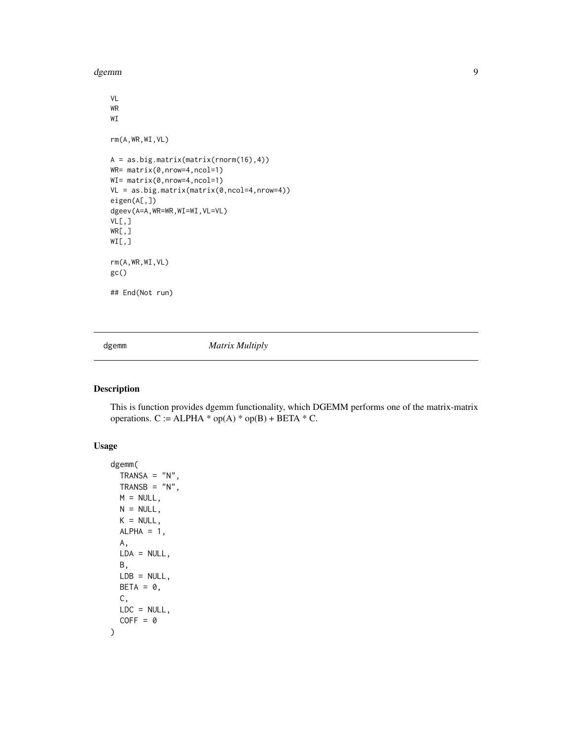<span id="page-8-0"></span>dgemm 9

```
VL
WR
WI
rm(A,WR,WI,VL)
A = as.big.matrix(matrix(rnorm(16),4))
WR= matrix(0,nrow=4,ncol=1)
WI= matrix(0,nrow=4,ncol=1)
VL = as.big.matrix(matrix(0,ncol=4,nrow=4))
eigen(A[,])
dgeev(A=A,WR=WR,WI=WI,VL=VL)
VL[,]
WR[,]
\texttt{WI} , \texttt{l}rm(A,WR,WI,VL)
gc()
## End(Not run)
```
dgemm *Matrix Multiply*

# Description

This is function provides dgemm functionality, which DGEMM performs one of the matrix-matrix operations.  $C := ALPHA * op(A) * op(B) + BETA * C$ .

# Usage

```
dgemm(
 TRANSA = "N",
 TRANSB = "N",
 M = NULL,N = NULL,K = NULL,ALPHA = 1,
 A,
 LDA = NULL,B,
 LDB = NULL,
 BETA = 0,
 C,
 LDC = NULL,COFF = 0)
```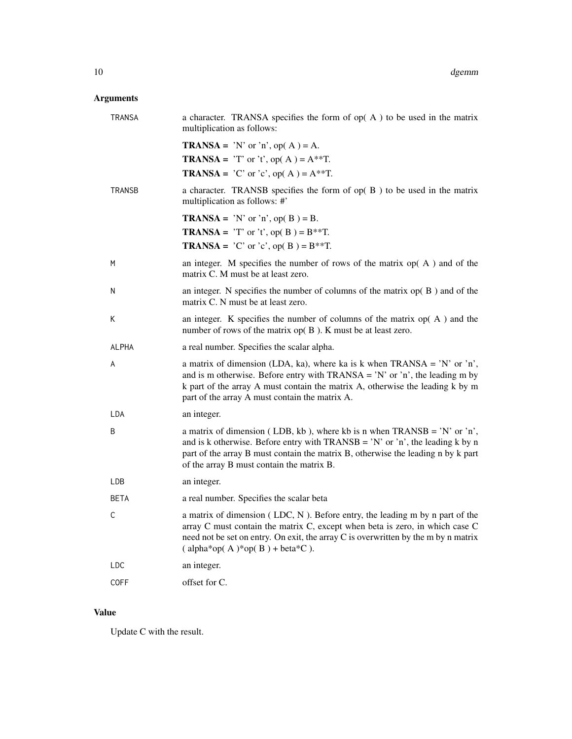# Arguments

| <b>TRANSA</b> | a character. TRANSA specifies the form of $op(A)$ to be used in the matrix<br>multiplication as follows:                                                                                                                                                                                        |
|---------------|-------------------------------------------------------------------------------------------------------------------------------------------------------------------------------------------------------------------------------------------------------------------------------------------------|
|               | <b>TRANSA</b> = 'N' or 'n', op( $A$ ) = A.                                                                                                                                                                                                                                                      |
|               | <b>TRANSA</b> = 'T' or 't', op(A) = $A^{**}T$ .                                                                                                                                                                                                                                                 |
|               | <b>TRANSA</b> = $^{\circ}$ C' or $^{\circ}$ c', op(A) = A**T.                                                                                                                                                                                                                                   |
| <b>TRANSB</b> | a character. TRANSB specifies the form of $op(B)$ to be used in the matrix<br>multiplication as follows: #'                                                                                                                                                                                     |
|               | <b>TRANSA</b> = 'N' or 'n', op( $B$ ) = B.                                                                                                                                                                                                                                                      |
|               | <b>TRANSA</b> = 'T' or 't', op( B) = $B^{**}T$ .                                                                                                                                                                                                                                                |
|               | <b>TRANSA</b> = $^{\circ}$ C' or $^{\circ}$ c', op( B) = B**T.                                                                                                                                                                                                                                  |
| M             | an integer. M specifies the number of rows of the matrix $op(A)$ and of the<br>matrix C. M must be at least zero.                                                                                                                                                                               |
| N             | an integer. N specifies the number of columns of the matrix $op(B)$ and of the<br>matrix C. N must be at least zero.                                                                                                                                                                            |
| К             | an integer. K specifies the number of columns of the matrix $op(A)$ and the<br>number of rows of the matrix $op(B)$ . K must be at least zero.                                                                                                                                                  |
| ALPHA         | a real number. Specifies the scalar alpha.                                                                                                                                                                                                                                                      |
| A             | a matrix of dimension (LDA, ka), where ka is k when TRANSA = 'N' or 'n',<br>and is m otherwise. Before entry with $TRANSA = 'N'$ or 'n', the leading m by<br>k part of the array A must contain the matrix A, otherwise the leading k by m<br>part of the array A must contain the matrix A.    |
| LDA           | an integer.                                                                                                                                                                                                                                                                                     |
| B             | a matrix of dimension (LDB, kb), where kb is n when TRANSB = 'N' or 'n',<br>and is k otherwise. Before entry with $TRANSB = 'N'$ or 'n', the leading k by n<br>part of the array B must contain the matrix B, otherwise the leading n by k part<br>of the array B must contain the matrix B.    |
| LDB           | an integer.                                                                                                                                                                                                                                                                                     |
| <b>BETA</b>   | a real number. Specifies the scalar beta                                                                                                                                                                                                                                                        |
| C             | a matrix of dimension $(LDC, N)$ . Before entry, the leading m by n part of the<br>array C must contain the matrix C, except when beta is zero, in which case C<br>need not be set on entry. On exit, the array C is overwritten by the m by n matrix<br>$\alpha$ (alpha*op(A)*op(B) + beta*C). |
| LDC           | an integer.                                                                                                                                                                                                                                                                                     |
| <b>COFF</b>   | offset for C.                                                                                                                                                                                                                                                                                   |

# Value

Update C with the result.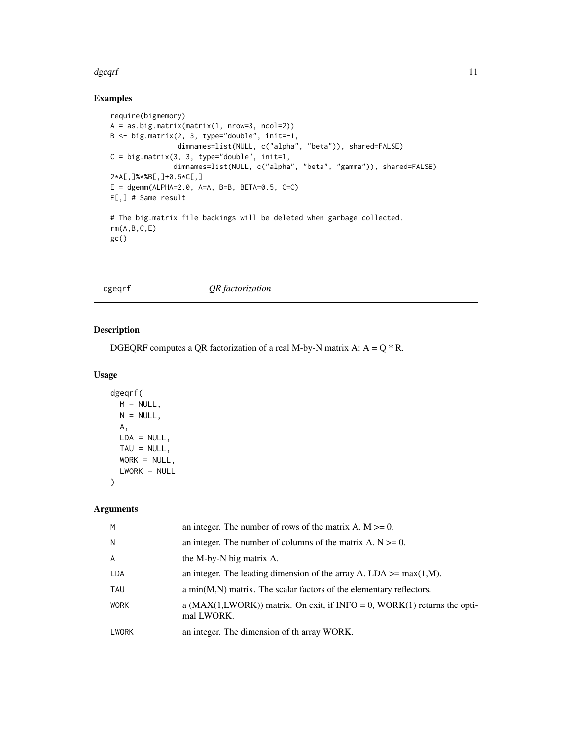#### <span id="page-10-0"></span>dgeqrf is a state of the state of the state of the state of the state of the state of the state of the state of the state of the state of the state of the state of the state of the state of the state of the state of the st

# Examples

```
require(bigmemory)
A = as.big.matrix(matrix(1, nrow=3, ncol=2))
B <- big.matrix(2, 3, type="double", init=-1,
               dimnames=list(NULL, c("alpha", "beta")), shared=FALSE)
C = big_matrix(3, 3, type='double", init=1,dimnames=list(NULL, c("alpha", "beta", "gamma")), shared=FALSE)
2*A[,]%*%B[,]+0.5*C[,]
E = dgemm(ALPHA=2.0, A=A, B=B, BETA=0.5, C=C)E[,] # Same result
# The big.matrix file backings will be deleted when garbage collected.
rm(A,B,C,E)
gc()
```
dgeqrf *QR factorization*

# Description

DGEQRF computes a QR factorization of a real M-by-N matrix A:  $A = Q * R$ .

# Usage

```
dgeqrf(
 M = NULL,N = NULL,A,
 LDA = NULL,TAU = NULL,WORK = NULL,LWORK = NULL
```
#### Arguments

)

| M              | an integer. The number of rows of the matrix A. $M \ge 0$ .                                |
|----------------|--------------------------------------------------------------------------------------------|
| $\mathsf{N}$   | an integer. The number of columns of the matrix A. $N \ge 0$ .                             |
| $\overline{A}$ | the M-by-N big matrix A.                                                                   |
| LDA            | an integer. The leading dimension of the array A. LDA $>=$ max(1,M).                       |
| TAU            | a $min(M,N)$ matrix. The scalar factors of the elementary reflectors.                      |
| <b>WORK</b>    | a ( $MAX(1,LWORK)$ ) matrix. On exit, if INFO = 0, WORK(1) returns the opti-<br>mal LWORK. |
| <b>LWORK</b>   | an integer. The dimension of the array WORK.                                               |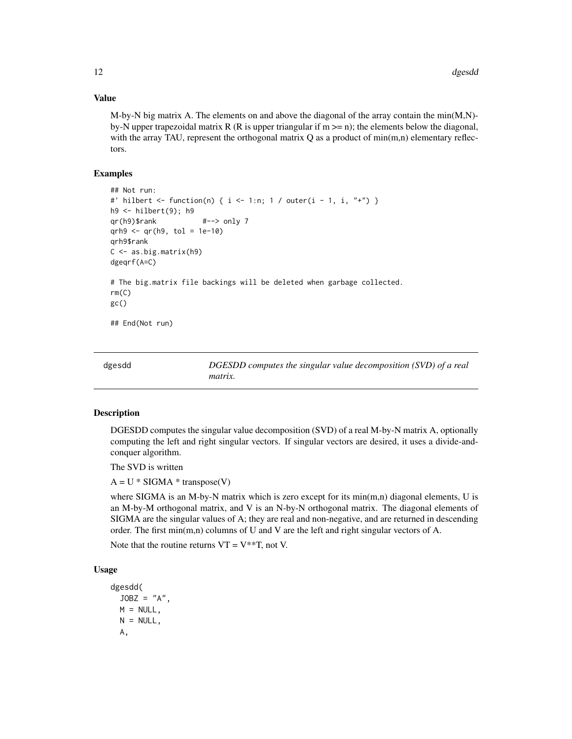# Value

M-by-N big matrix A. The elements on and above the diagonal of the array contain the min $(M,N)$ by-N upper trapezoidal matrix R (R is upper triangular if  $m \ge n$ ); the elements below the diagonal, with the array TAU, represent the orthogonal matrix  $Q$  as a product of min $(m,n)$  elementary reflectors.

#### Examples

```
## Not run:
#' hilbert <- function(n) { i <- 1:n; 1 / outer(i - 1, i, "+") }
h9 <- hilbert(9); h9
qr(h9)$rank #--> only 7
qrh9 < -qr(h9, tol = 1e-10)qrh9$rank
C <- as.big.matrix(h9)
dgeqrf(A=C)
# The big.matrix file backings will be deleted when garbage collected.
rm(C)
gc()
## End(Not run)
```
dgesdd *DGESDD computes the singular value decomposition (SVD) of a real matrix.*

#### Description

DGESDD computes the singular value decomposition (SVD) of a real M-by-N matrix A, optionally computing the left and right singular vectors. If singular vectors are desired, it uses a divide-andconquer algorithm.

The SVD is written

 $A = U * SIGMA * transpose(V)$ 

where SIGMA is an M-by-N matrix which is zero except for its  $min(m,n)$  diagonal elements, U is an M-by-M orthogonal matrix, and V is an N-by-N orthogonal matrix. The diagonal elements of SIGMA are the singular values of A; they are real and non-negative, and are returned in descending order. The first min(m,n) columns of U and V are the left and right singular vectors of A.

Note that the routine returns  $VT = V^{**}T$ , not V.

# Usage

```
dgesdd(
  JOBZ = "A".M = NULL,N = NULL,A,
```
<span id="page-11-0"></span>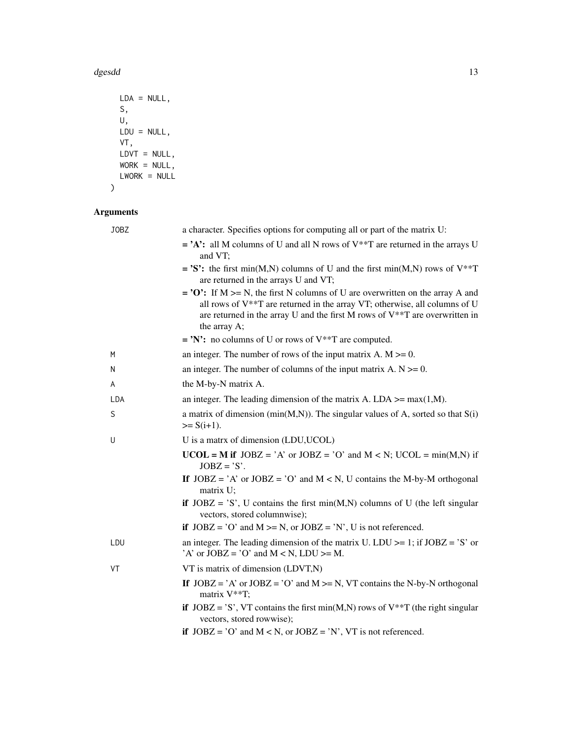d*gesdd* 13

```
LDA = NULL,
 S,
 U,
 LDU = NULL,VT,
 L DVT = NULL,WORK = NULL,LWORK = NULL\mathcal{L}
```
# Arguments

| JOBZ | a character. Specifies options for computing all or part of the matrix U:                                                                                                                                                                                                |
|------|--------------------------------------------------------------------------------------------------------------------------------------------------------------------------------------------------------------------------------------------------------------------------|
|      | $=$ 'A': all M columns of U and all N rows of V**T are returned in the arrays U<br>and VT;                                                                                                                                                                               |
|      | = 'S': the first min(M,N) columns of U and the first min(M,N) rows of $V^{**}T$<br>are returned in the arrays U and VT;                                                                                                                                                  |
|      | $=$ 'O': If M $>=$ N, the first N columns of U are overwritten on the array A and<br>all rows of $V^{**}T$ are returned in the array VT; otherwise, all columns of U<br>are returned in the array U and the first M rows of $V^{**}T$ are overwritten in<br>the array A; |
|      | = 'N': no columns of U or rows of $V^{**}T$ are computed.                                                                                                                                                                                                                |
| M    | an integer. The number of rows of the input matrix A. $M \ge 0$ .                                                                                                                                                                                                        |
| N    | an integer. The number of columns of the input matrix A. $N \ge 0$ .                                                                                                                                                                                                     |
| A    | the M-by-N matrix A.                                                                                                                                                                                                                                                     |
| LDA  | an integer. The leading dimension of the matrix A. LDA $\geq$ max(1,M).                                                                                                                                                                                                  |
| S    | a matrix of dimension ( $min(M,N)$ ). The singular values of A, sorted so that $S(i)$<br>$>= S(i+1).$                                                                                                                                                                    |
| U    | U is a matrx of dimension (LDU, UCOL)                                                                                                                                                                                                                                    |
|      | $UCOL = M$ if $JOBZ = 'A'$ or $JOBZ = 'O'$ and $M < N$ ; $UCOL = min(M,N)$ if<br>$JOBZ = 'S'.$                                                                                                                                                                           |
|      | If $JOBZ = 'A'$ or $JOBZ = 'O'$ and $M < N$ , U contains the M-by-M orthogonal<br>matrix U;                                                                                                                                                                              |
|      | if $JOBZ = 'S'$ , U contains the first min(M,N) columns of U (the left singular<br>vectors, stored columnwise);                                                                                                                                                          |
|      | if $JOBZ = 'O'$ and $M \ge N$ , or $JOBZ = 'N'$ , U is not referenced.                                                                                                                                                                                                   |
|      |                                                                                                                                                                                                                                                                          |
| LDU  | an integer. The leading dimension of the matrix U. LDU $>= 1$ ; if JOBZ = 'S' or<br>'A' or $JOBZ = 'O'$ and $M < N$ , $LDU > = M$ .                                                                                                                                      |
| VT   | VT is matrix of dimension (LDVT,N)                                                                                                                                                                                                                                       |
|      | If $JOBZ = 'A'$ or $JOBZ = 'O'$ and $M \ge N$ , VT contains the N-by-N orthogonal<br>matrix V**T;                                                                                                                                                                        |
|      | if $JOBZ = 'S'$ , VT contains the first min(M,N) rows of V <sup>**</sup> T (the right singular<br>vectors, stored rowwise);                                                                                                                                              |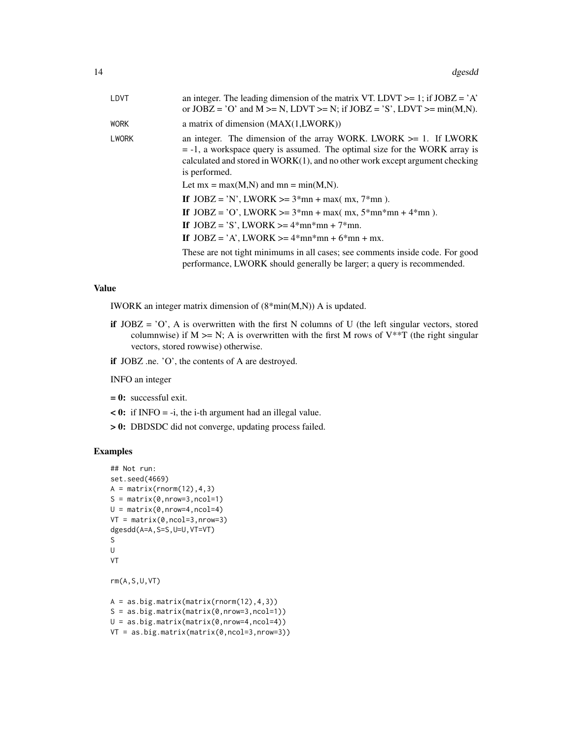| LDVT         | an integer. The leading dimension of the matrix VT. LDVT $>= 1$ ; if JOBZ = 'A'<br>or $JOBZ = 'O'$ and $M \ge N$ , $LDVT \ge N$ ; if $JOBZ = 'S'$ , $LDVT \ge min(M,N)$ .                                                                                                                                                                                                                                                                                                                                                                                                                                               |
|--------------|-------------------------------------------------------------------------------------------------------------------------------------------------------------------------------------------------------------------------------------------------------------------------------------------------------------------------------------------------------------------------------------------------------------------------------------------------------------------------------------------------------------------------------------------------------------------------------------------------------------------------|
| <b>WORK</b>  | a matrix of dimension $(MAX(1,LWORK))$                                                                                                                                                                                                                                                                                                                                                                                                                                                                                                                                                                                  |
| <b>LWORK</b> | an integer. The dimension of the array WORK. LWORK $>= 1$ . If LWORK<br>$= -1$ , a workspace query is assumed. The optimal size for the WORK array is<br>calculated and stored in $WORK(1)$ , and no other work except argument checking<br>is performed.<br>Let $mx = max(M,N)$ and $mn = min(M,N)$ .<br>If $JOBZ = 'N'$ , $LWORK \ge 3*mn + max(mx, 7*mn)$ .<br>If $JOBZ = 'O'$ , $LWORK \ge 3*mn + max(mx, 5*mn*mn + 4*mn)$ .<br>If $JOBZ = 'S'$ , $LWORK \ge 4*mn*mn + 7*mn$ .<br>If $JOBZ = 'A', LWORK > = 4*mn*mn + 6*mn + mx$ .<br>These are not tight minimums in all cases; see comments inside code. For good |
|              | performance, LWORK should generally be larger; a query is recommended.                                                                                                                                                                                                                                                                                                                                                                                                                                                                                                                                                  |
|              |                                                                                                                                                                                                                                                                                                                                                                                                                                                                                                                                                                                                                         |

# Value

IWORK an integer matrix dimension of (8\*min(M,N)) A is updated.

- if  $JOBZ = 'O'$ , A is overwritten with the first N columns of U (the left singular vectors, stored columnwise) if  $M \ge N$ ; A is overwritten with the first M rows of V<sup>\*\*</sup>T (the right singular vectors, stored rowwise) otherwise.
- if JOBZ .ne. 'O', the contents of A are destroyed.

INFO an integer

- $= 0$ : successful exit.
- < 0: if INFO = -i, the i-th argument had an illegal value.
- > 0: DBDSDC did not converge, updating process failed.

```
## Not run:
set.seed(4669)
A = matrix(rnorm(12), 4, 3)S = matrix(0, nrow=3, ncol=1)U = matrix(0, nrow=4, ncol=4)VT = matrix(0, ncol=3, nrow=3)dgesdd(A=A,S=S,U=U,VT=VT)
S
U
VT
rm(A,S,U,VT)
A = as.big_matrix(matrix(rnorm(12), 4, 3))S = as.big.matrix(matrix(0,nrow=3,ncol=1))
U = as.big.mathx(maxrix(0, nrow=4, ncol=4))VT = as.big.matrix(matrix(0,ncol=3,nrow=3))
```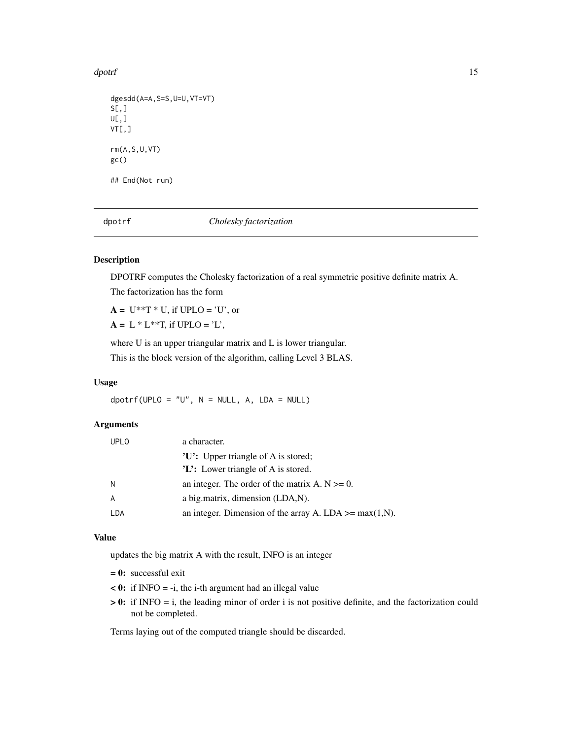<span id="page-14-0"></span>dpotrf the contract of the contract of the contract of the contract of the contract of the contract of the contract of the contract of the contract of the contract of the contract of the contract of the contract of the con

```
dgesdd(A=A,S=S,U=U,VT=VT)
S[,]U[\,,\,]VT[,]
rm(A,S,U,VT)
gc()
## End(Not run)
```
dpotrf *Cholesky factorization*

# Description

DPOTRF computes the Cholesky factorization of a real symmetric positive definite matrix A.

The factorization has the form

 $A = U^{**}T^*U$ , if UPLO = 'U', or

 $A = L * L**T$ , if UPLO = 'L',

where U is an upper triangular matrix and L is lower triangular.

This is the block version of the algorithm, calling Level 3 BLAS.

# Usage

 $d$ potrf(UPLO = "U",  $N = NULL$ ,  $A$ ,  $LDA = NULL$ )

#### Arguments

| <b>UPLO</b> | a character.                                             |
|-------------|----------------------------------------------------------|
|             | 'U': Upper triangle of A is stored;                      |
|             | $'L$ : Lower triangle of A is stored.                    |
| N           | an integer. The order of the matrix A. $N \ge 0$ .       |
|             | a big.matrix, dimension (LDA,N).                         |
| LDA         | an integer. Dimension of the array A. LDA $>=$ max(1,N). |

#### Value

updates the big matrix A with the result, INFO is an integer

 $= 0$ : successful exit

- $\leq 0$ : if INFO = -i, the i-th argument had an illegal value
- > 0: if INFO = i, the leading minor of order i is not positive definite, and the factorization could not be completed.

Terms laying out of the computed triangle should be discarded.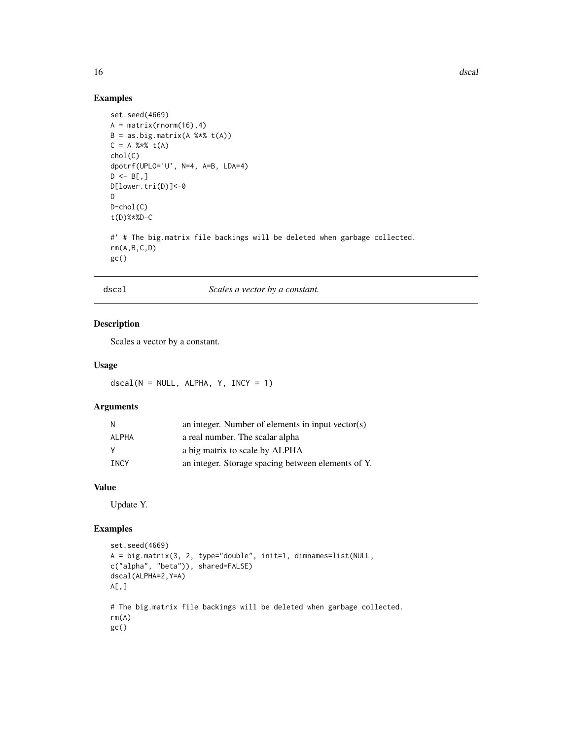# Examples

```
set.seed(4669)
A = matrix(rnorm(16), 4)B = as.big.matrix(A %*% t(A))C = A %*% t(A)chol(C)
dpotrf(UPLO='U', N=4, A=B, LDA=4)
D \leftarrow B[, ]D[lower.tri(D)]<-0
D
D-chol(C)
t(D)%*%D-C
#' # The big.matrix file backings will be deleted when garbage collected.
rm(A,B,C,D)
gc()
```
#### dscal *Scales a vector by a constant.*

# Description

Scales a vector by a constant.

# Usage

 $dscal(N = NULL, ALPHA, Y, INCY = 1)$ 

# Arguments

|             | an integer. Number of elements in input vector(s)  |
|-------------|----------------------------------------------------|
| ALPHA       | a real number. The scalar alpha                    |
|             | a big matrix to scale by ALPHA                     |
| <b>TNCY</b> | an integer. Storage spacing between elements of Y. |

# Value

Update Y.

```
set.seed(4669)
A = big.matrix(3, 2, type="double", init=1, dimnames=list(NULL,
c("alpha", "beta")), shared=FALSE)
dscal(ALPHA=2,Y=A)
A[\,,]# The big.matrix file backings will be deleted when garbage collected.
rm(A)
gc()
```
<span id="page-15-0"></span>